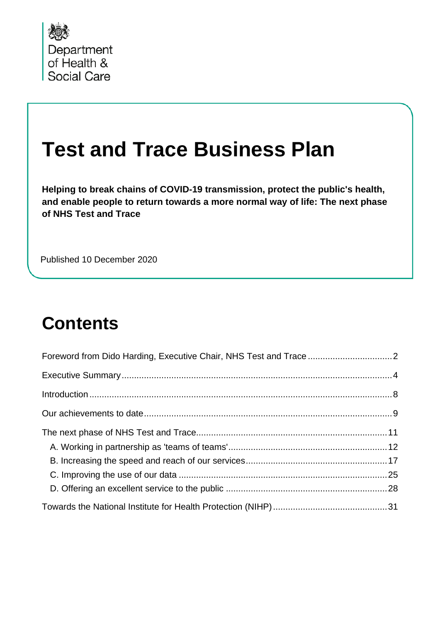

# **Test and Trace Business Plan**

**Helping to break chains of COVID-19 transmission, protect the public's health, and enable people to return towards a more normal way of life: The next phase of NHS Test and Trace**

Published 10 December 2020

# **Contents**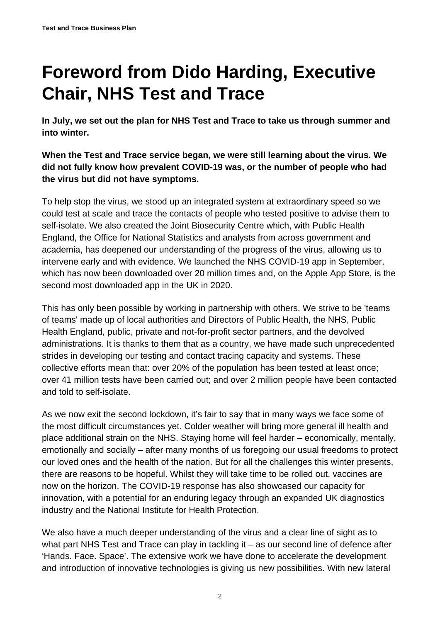# <span id="page-1-0"></span>**Foreword from Dido Harding, Executive Chair, NHS Test and Trace**

**In July, we set out the plan for NHS Test and Trace to take us through summer and into winter.** 

**When the Test and Trace service began, we were still learning about the virus. We did not fully know how prevalent COVID-19 was, or the number of people who had the virus but did not have symptoms.**

To help stop the virus, we stood up an integrated system at extraordinary speed so we could test at scale and trace the contacts of people who tested positive to advise them to self-isolate. We also created the Joint Biosecurity Centre which, with Public Health England, the Office for National Statistics and analysts from across government and academia, has deepened our understanding of the progress of the virus, allowing us to intervene early and with evidence. We launched the NHS COVID-19 app in September, which has now been downloaded over 20 million times and, on the Apple App Store, is the second most downloaded app in the UK in 2020.

This has only been possible by working in partnership with others. We strive to be 'teams of teams' made up of local authorities and Directors of Public Health, the NHS, Public Health England, public, private and not-for-profit sector partners, and the devolved administrations. It is thanks to them that as a country, we have made such unprecedented strides in developing our testing and contact tracing capacity and systems. These collective efforts mean that: over 20% of the population has been tested at least once; over 41 million tests have been carried out; and over 2 million people have been contacted and told to self-isolate.

As we now exit the second lockdown, it's fair to say that in many ways we face some of the most difficult circumstances yet. Colder weather will bring more general ill health and place additional strain on the NHS. Staying home will feel harder – economically, mentally, emotionally and socially – after many months of us foregoing our usual freedoms to protect our loved ones and the health of the nation. But for all the challenges this winter presents, there are reasons to be hopeful. Whilst they will take time to be rolled out, vaccines are now on the horizon. The COVID-19 response has also showcased our capacity for innovation, with a potential for an enduring legacy through an expanded UK diagnostics industry and the National Institute for Health Protection.

We also have a much deeper understanding of the virus and a clear line of sight as to what part NHS Test and Trace can play in tackling it – as our second line of defence after 'Hands. Face. Space'. The extensive work we have done to accelerate the development and introduction of innovative technologies is giving us new possibilities. With new lateral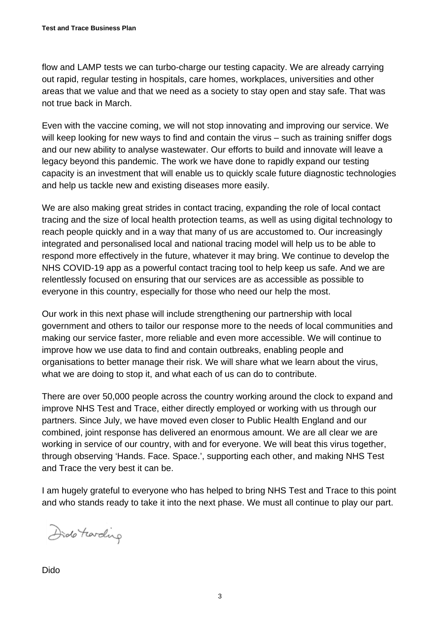flow and LAMP tests we can turbo-charge our testing capacity. We are already carrying out rapid, regular testing in hospitals, care homes, workplaces, universities and other areas that we value and that we need as a society to stay open and stay safe. That was not true back in March.

Even with the vaccine coming, we will not stop innovating and improving our service. We will keep looking for new ways to find and contain the virus – such as training sniffer dogs and our new ability to analyse wastewater. Our efforts to build and innovate will leave a legacy beyond this pandemic. The work we have done to rapidly expand our testing capacity is an investment that will enable us to quickly scale future diagnostic technologies and help us tackle new and existing diseases more easily.

We are also making great strides in contact tracing, expanding the role of local contact tracing and the size of local health protection teams, as well as using digital technology to reach people quickly and in a way that many of us are accustomed to. Our increasingly integrated and personalised local and national tracing model will help us to be able to respond more effectively in the future, whatever it may bring. We continue to develop the NHS COVID-19 app as a powerful contact tracing tool to help keep us safe. And we are relentlessly focused on ensuring that our services are as accessible as possible to everyone in this country, especially for those who need our help the most.

Our work in this next phase will include strengthening our partnership with local government and others to tailor our response more to the needs of local communities and making our service faster, more reliable and even more accessible. We will continue to improve how we use data to find and contain outbreaks, enabling people and organisations to better manage their risk. We will share what we learn about the virus, what we are doing to stop it, and what each of us can do to contribute.

There are over 50,000 people across the country working around the clock to expand and improve NHS Test and Trace, either directly employed or working with us through our partners. Since July, we have moved even closer to Public Health England and our combined, joint response has delivered an enormous amount. We are all clear we are working in service of our country, with and for everyone. We will beat this virus together, through observing 'Hands. Face. Space.', supporting each other, and making NHS Test and Trace the very best it can be.

I am hugely grateful to everyone who has helped to bring NHS Test and Trace to this point and who stands ready to take it into the next phase. We must all continue to play our part.

Dido Farding

Dido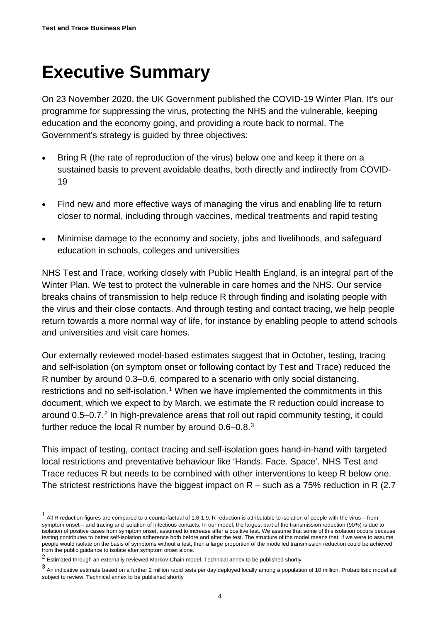# <span id="page-3-0"></span>**Executive Summary**

On 23 November 2020, the UK Government published the COVID-19 Winter Plan. It's our programme for suppressing the virus, protecting the NHS and the vulnerable, keeping education and the economy going, and providing a route back to normal. The Government's strategy is guided by three objectives:

- Bring R (the rate of reproduction of the virus) below one and keep it there on a sustained basis to prevent avoidable deaths, both directly and indirectly from COVID-19
- Find new and more effective ways of managing the virus and enabling life to return closer to normal, including through vaccines, medical treatments and rapid testing
- Minimise damage to the economy and society, jobs and livelihoods, and safeguard education in schools, colleges and universities

NHS Test and Trace, working closely with Public Health England, is an integral part of the Winter Plan. We test to protect the vulnerable in care homes and the NHS. Our service breaks chains of transmission to help reduce R through finding and isolating people with the virus and their close contacts. And through testing and contact tracing, we help people return towards a more normal way of life, for instance by enabling people to attend schools and universities and visit care homes.

Our externally reviewed model-based estimates suggest that in October, testing, tracing and self-isolation (on symptom onset or following contact by Test and Trace) reduced the R number by around 0.3–0.6, compared to a scenario with only social distancing, restrictions and no self-isolation.<sup>[1](#page-3-1)</sup> When we have implemented the commitments in this document, which we expect to by March, we estimate the R reduction could increase to around 0.5–0.7.[2](#page-3-2) In high-prevalence areas that roll out rapid community testing, it could further reduce the local R number by around 0.6–0.8.[3](#page-3-3)

This impact of testing, contact tracing and self-isolation goes hand-in-hand with targeted local restrictions and preventative behaviour like 'Hands. Face. Space'. NHS Test and Trace reduces R but needs to be combined with other interventions to keep R below one. The strictest restrictions have the biggest impact on  $R$  – such as a 75% reduction in R (2.7)

<span id="page-3-1"></span><sup>&</sup>lt;sup>1</sup> All R reduction figures are compared to a counterfactual of 1.6-1.9. R reduction is attributable to isolation of people with the virus – from symptom onset – and tracing and isolation of infectious contacts. In our model, the largest part of the transmission reduction (90%) is due to isolation of positive cases from symptom onset, assumed to increase after a positive test. We assume that some of this isolation occurs because testing contributes to better self-isolation adherence both before and after the test. The structure of the model means that, if we were to assume people would isolate on the basis of symptoms without a test, then a large proportion of the modelled transmission reduction could be achieved from the public guidance to isolate after symptom onset alone.

<span id="page-3-2"></span><sup>2</sup> Estimated through an externally reviewed Markov-Chain model. Technical annex to be published shortly

<span id="page-3-3"></span><sup>3</sup> An indicative estimate based on a further 2 million rapid tests per day deployed locally among a population of 10 million. Probabilistic model still subject to review. Technical annex to be published shortly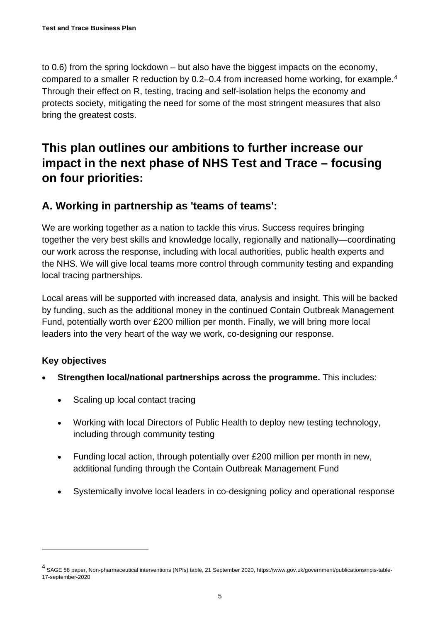to 0.6) from the spring lockdown – but also have the biggest impacts on the economy, compared to a smaller R reduction by 0.2–0.[4](#page-4-0) from increased home working, for example.<sup>4</sup> Through their effect on R, testing, tracing and self-isolation helps the economy and protects society, mitigating the need for some of the most stringent measures that also bring the greatest costs.

# **This plan outlines our ambitions to further increase our impact in the next phase of NHS Test and Trace – focusing on four priorities:**

## **A. Working in partnership as 'teams of teams':**

We are working together as a nation to tackle this virus. Success requires bringing together the very best skills and knowledge locally, regionally and nationally—coordinating our work across the response, including with local authorities, public health experts and the NHS. We will give local teams more control through community testing and expanding local tracing partnerships.

Local areas will be supported with increased data, analysis and insight. This will be backed by funding, such as the additional money in the continued Contain Outbreak Management Fund, potentially worth over £200 million per month. Finally, we will bring more local leaders into the very heart of the way we work, co-designing our response.

#### **Key objectives**

- **Strengthen local/national partnerships across the programme.** This includes:
	- Scaling up local contact tracing
	- Working with local Directors of Public Health to deploy new testing technology, including through community testing
	- Funding local action, through potentially over £200 million per month in new, additional funding through the Contain Outbreak Management Fund
	- Systemically involve local leaders in co-designing policy and operational response

<span id="page-4-0"></span><sup>4</sup> SAGE 58 paper, Non-pharmaceutical interventions (NPIs) table, 21 September 2020, https://www.gov.uk/government/publications/npis-table-17-september-2020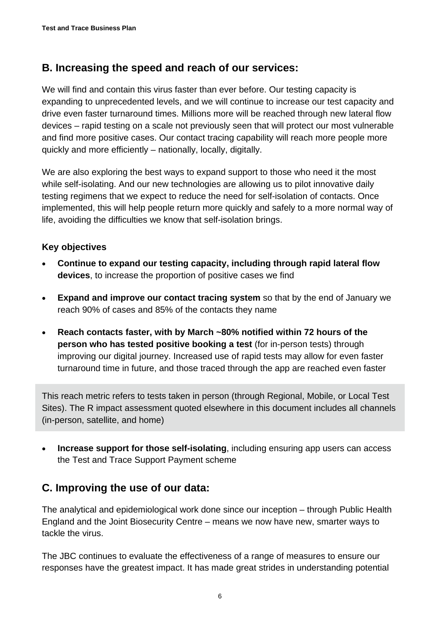### **B. Increasing the speed and reach of our services:**

We will find and contain this virus faster than ever before. Our testing capacity is expanding to unprecedented levels, and we will continue to increase our test capacity and drive even faster turnaround times. Millions more will be reached through new lateral flow devices – rapid testing on a scale not previously seen that will protect our most vulnerable and find more positive cases. Our contact tracing capability will reach more people more quickly and more efficiently – nationally, locally, digitally.

We are also exploring the best ways to expand support to those who need it the most while self-isolating. And our new technologies are allowing us to pilot innovative daily testing regimens that we expect to reduce the need for self-isolation of contacts. Once implemented, this will help people return more quickly and safely to a more normal way of life, avoiding the difficulties we know that self-isolation brings.

#### **Key objectives**

- **Continue to expand our testing capacity, including through rapid lateral flow devices**, to increase the proportion of positive cases we find
- **Expand and improve our contact tracing system** so that by the end of January we reach 90% of cases and 85% of the contacts they name
- **Reach contacts faster, with by March ~80% notified within 72 hours of the person who has tested positive booking a test** (for in-person tests) through improving our digital journey. Increased use of rapid tests may allow for even faster turnaround time in future, and those traced through the app are reached even faster

This reach metric refers to tests taken in person (through Regional, Mobile, or Local Test Sites). The R impact assessment quoted elsewhere in this document includes all channels (in-person, satellite, and home)

**Increase support for those self-isolating, including ensuring app users can access** the Test and Trace Support Payment scheme

### **C. Improving the use of our data:**

The analytical and epidemiological work done since our inception – through Public Health England and the Joint Biosecurity Centre – means we now have new, smarter ways to tackle the virus.

The JBC continues to evaluate the effectiveness of a range of measures to ensure our responses have the greatest impact. It has made great strides in understanding potential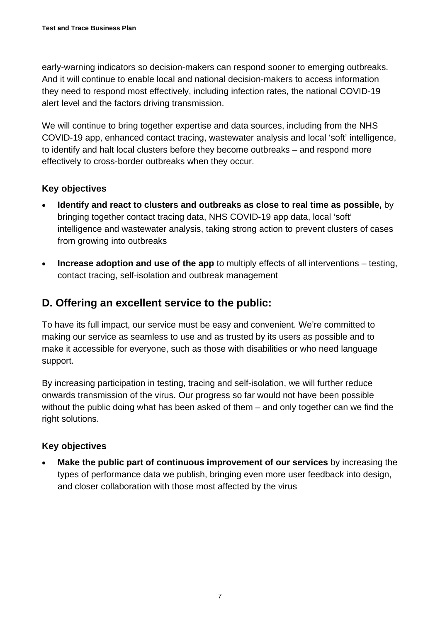early-warning indicators so decision-makers can respond sooner to emerging outbreaks. And it will continue to enable local and national decision-makers to access information they need to respond most effectively, including infection rates, the national COVID-19 alert level and the factors driving transmission.

We will continue to bring together expertise and data sources, including from the NHS COVID-19 app, enhanced contact tracing, wastewater analysis and local 'soft' intelligence, to identify and halt local clusters before they become outbreaks – and respond more effectively to cross-border outbreaks when they occur.

#### **Key objectives**

- **Identify and react to clusters and outbreaks as close to real time as possible,** by bringing together contact tracing data, NHS COVID-19 app data, local 'soft' intelligence and wastewater analysis, taking strong action to prevent clusters of cases from growing into outbreaks
- **Increase adoption and use of the app** to multiply effects of all interventions testing, contact tracing, self-isolation and outbreak management

## **D. Offering an excellent service to the public:**

To have its full impact, our service must be easy and convenient. We're committed to making our service as seamless to use and as trusted by its users as possible and to make it accessible for everyone, such as those with disabilities or who need language support.

By increasing participation in testing, tracing and self-isolation, we will further reduce onwards transmission of the virus. Our progress so far would not have been possible without the public doing what has been asked of them – and only together can we find the right solutions.

#### **Key objectives**

• **Make the public part of continuous improvement of our services** by increasing the types of performance data we publish, bringing even more user feedback into design, and closer collaboration with those most affected by the virus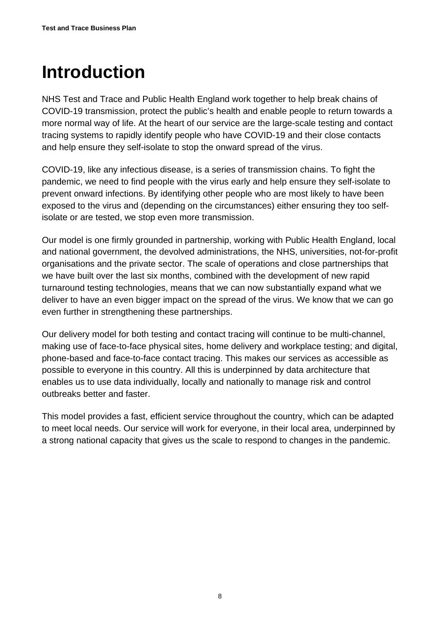# <span id="page-7-0"></span>**Introduction**

NHS Test and Trace and Public Health England work together to help break chains of COVID-19 transmission, protect the public's health and enable people to return towards a more normal way of life. At the heart of our service are the large-scale testing and contact tracing systems to rapidly identify people who have COVID-19 and their close contacts and help ensure they self-isolate to stop the onward spread of the virus.

COVID-19, like any infectious disease, is a series of transmission chains. To fight the pandemic, we need to find people with the virus early and help ensure they self-isolate to prevent onward infections. By identifying other people who are most likely to have been exposed to the virus and (depending on the circumstances) either ensuring they too selfisolate or are tested, we stop even more transmission.

Our model is one firmly grounded in partnership, working with Public Health England, local and national government, the devolved administrations, the NHS, universities, not-for-profit organisations and the private sector. The scale of operations and close partnerships that we have built over the last six months, combined with the development of new rapid turnaround testing technologies, means that we can now substantially expand what we deliver to have an even bigger impact on the spread of the virus. We know that we can go even further in strengthening these partnerships.

Our delivery model for both testing and contact tracing will continue to be multi-channel, making use of face-to-face physical sites, home delivery and workplace testing; and digital, phone-based and face-to-face contact tracing. This makes our services as accessible as possible to everyone in this country. All this is underpinned by data architecture that enables us to use data individually, locally and nationally to manage risk and control outbreaks better and faster.

This model provides a fast, efficient service throughout the country, which can be adapted to meet local needs. Our service will work for everyone, in their local area, underpinned by a strong national capacity that gives us the scale to respond to changes in the pandemic.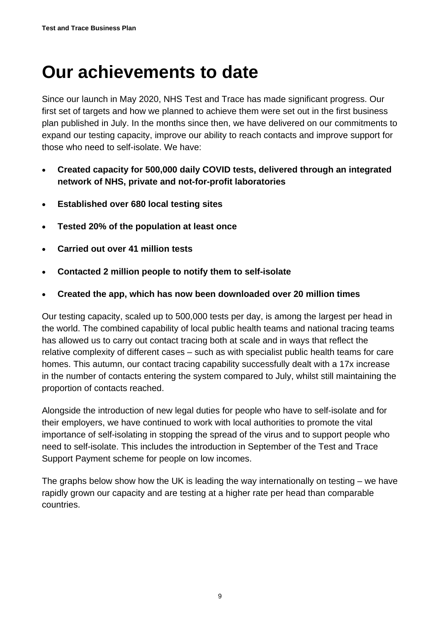# <span id="page-8-0"></span>**Our achievements to date**

Since our launch in May 2020, NHS Test and Trace has made significant progress. Our first set of targets and how we planned to achieve them were set out in the first business plan published in July. In the months since then, we have delivered on our commitments to expand our testing capacity, improve our ability to reach contacts and improve support for those who need to self-isolate. We have:

- **Created capacity for 500,000 daily COVID tests, delivered through an integrated network of NHS, private and not-for-profit laboratories**
- **Established over 680 local testing sites**
- **Tested 20% of the population at least once**
- **Carried out over 41 million tests**
- **Contacted 2 million people to notify them to self-isolate**
- **Created the app, which has now been downloaded over 20 million times**

Our testing capacity, scaled up to 500,000 tests per day, is among the largest per head in the world. The combined capability of local public health teams and national tracing teams has allowed us to carry out contact tracing both at scale and in ways that reflect the relative complexity of different cases – such as with specialist public health teams for care homes. This autumn, our contact tracing capability successfully dealt with a 17x increase in the number of contacts entering the system compared to July, whilst still maintaining the proportion of contacts reached.

Alongside the introduction of new legal duties for people who have to self-isolate and for their employers, we have continued to work with local authorities to promote the vital importance of self-isolating in stopping the spread of the virus and to support people who need to self-isolate. This includes the introduction in September of the Test and Trace Support Payment scheme for people on low incomes.

The graphs below show how the UK is leading the way internationally on testing – we have rapidly grown our capacity and are testing at a higher rate per head than comparable countries.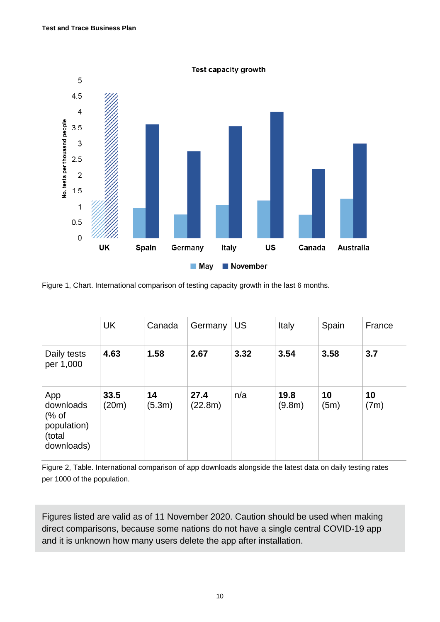

Figure 1, Chart. [International comparison of testing capacity growth in the last 6 months.](https://ourworldindata.org/coronavirus-testing)

|                                                                   | <b>UK</b>     | Canada       | Germany         | <b>US</b> | Italy          | Spain      | France     |
|-------------------------------------------------------------------|---------------|--------------|-----------------|-----------|----------------|------------|------------|
| Daily tests<br>per 1,000                                          | 4.63          | 1.58         | 2.67            | 3.32      | 3.54           | 3.58       | 3.7        |
| App<br>downloads<br>$%$ of<br>population)<br>(total<br>downloads) | 33.5<br>(20m) | 14<br>(5.3m) | 27.4<br>(22.8m) | n/a       | 19.8<br>(9.8m) | 10<br>(5m) | 10<br>(7m) |

Figure 2, Table. International comparison of app downloads alongside the latest data on daily testing rates per 1000 of the population.

Figures listed are valid as of 11 November 2020. Caution should be used when making direct comparisons, because some nations do not have a single central COVID-19 app and it is unknown how many users delete the app after installation.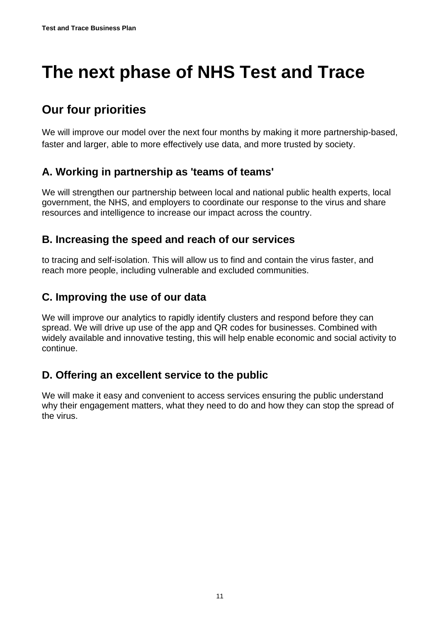# <span id="page-10-0"></span>**The next phase of NHS Test and Trace**

# **Our four priorities**

We will improve our model over the next four months by making it more partnership-based, faster and larger, able to more effectively use data, and more trusted by society.

## **A. Working in partnership as 'teams of teams'**

We will strengthen our partnership between local and national public health experts, local government, the NHS, and employers to coordinate our response to the virus and share resources and intelligence to increase our impact across the country.

### **B. Increasing the speed and reach of our services**

to tracing and self-isolation. This will allow us to find and contain the virus faster, and reach more people, including vulnerable and excluded communities.

### **C. Improving the use of our data**

We will improve our analytics to rapidly identify clusters and respond before they can spread. We will drive up use of the app and QR codes for businesses. Combined with widely available and innovative testing, this will help enable economic and social activity to continue.

## **D. Offering an excellent service to the public**

We will make it easy and convenient to access services ensuring the public understand why their engagement matters, what they need to do and how they can stop the spread of the virus.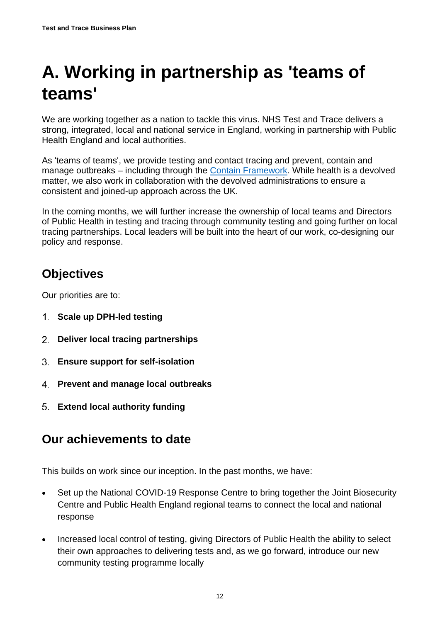# <span id="page-11-0"></span>**A. Working in partnership as 'teams of teams'**

We are working together as a nation to tackle this virus. NHS Test and Trace delivers a strong, integrated, local and national service in England, working in partnership with Public Health England and local authorities.

As 'teams of teams', we provide testing and contact tracing and prevent, contain and manage outbreaks – including through the **Contain Framework**. While health is a devolved matter, we also work in collaboration with the devolved administrations to ensure a consistent and joined-up approach across the UK.

In the coming months, we will further increase the ownership of local teams and Directors of Public Health in testing and tracing through community testing and going further on local tracing partnerships. Local leaders will be built into the heart of our work, co-designing our policy and response.

# **Objectives**

Our priorities are to:

- **Scale up DPH-led testing**
- **Deliver local tracing partnerships**
- **Ensure support for self-isolation**
- **Prevent and manage local outbreaks**
- **Extend local authority funding**

# **Our achievements to date**

This builds on work since our inception. In the past months, we have:

- Set up the National COVID-19 Response Centre to bring together the Joint Biosecurity Centre and Public Health England regional teams to connect the local and national response
- Increased local control of testing, giving Directors of Public Health the ability to select their own approaches to delivering tests and, as we go forward, introduce our new community testing programme locally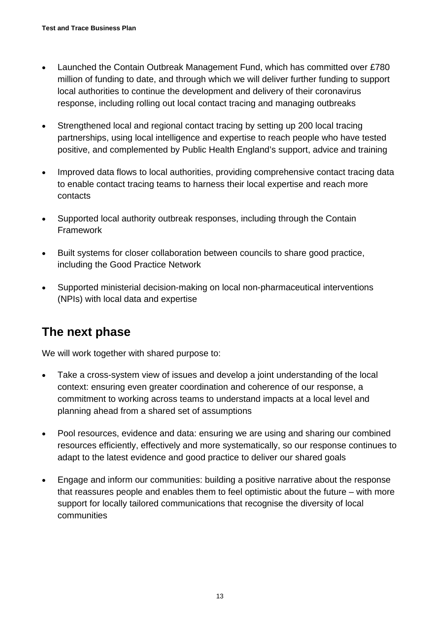- Launched the Contain Outbreak Management Fund, which has committed over £780 million of funding to date, and through which we will deliver further funding to support local authorities to continue the development and delivery of their coronavirus response, including rolling out local contact tracing and managing outbreaks
- Strengthened local and regional contact tracing by setting up 200 local tracing partnerships, using local intelligence and expertise to reach people who have tested positive, and complemented by Public Health England's support, advice and training
- Improved data flows to local authorities, providing comprehensive contact tracing data to enable contact tracing teams to harness their local expertise and reach more contacts
- Supported local authority outbreak responses, including through the Contain Framework
- Built systems for closer collaboration between councils to share good practice, including the Good Practice Network
- Supported ministerial decision-making on local non-pharmaceutical interventions (NPIs) with local data and expertise

# **The next phase**

We will work together with shared purpose to:

- Take a cross-system view of issues and develop a joint understanding of the local context: ensuring even greater coordination and coherence of our response, a commitment to working across teams to understand impacts at a local level and planning ahead from a shared set of assumptions
- Pool resources, evidence and data: ensuring we are using and sharing our combined resources efficiently, effectively and more systematically, so our response continues to adapt to the latest evidence and good practice to deliver our shared goals
- Engage and inform our communities: building a positive narrative about the response that reassures people and enables them to feel optimistic about the future – with more support for locally tailored communications that recognise the diversity of local communities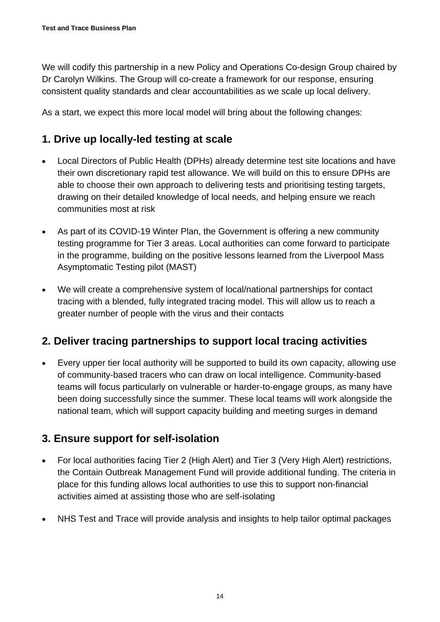We will codify this partnership in a new Policy and Operations Co-design Group chaired by Dr Carolyn Wilkins. The Group will co-create a framework for our response, ensuring consistent quality standards and clear accountabilities as we scale up local delivery.

As a start, we expect this more local model will bring about the following changes:

### **1. Drive up locally-led testing at scale**

- Local Directors of Public Health (DPHs) already determine test site locations and have their own discretionary rapid test allowance. We will build on this to ensure DPHs are able to choose their own approach to delivering tests and prioritising testing targets, drawing on their detailed knowledge of local needs, and helping ensure we reach communities most at risk
- As part of its COVID-19 Winter Plan, the Government is offering a new community testing programme for Tier 3 areas. Local authorities can come forward to participate in the programme, building on the positive lessons learned from the Liverpool Mass Asymptomatic Testing pilot (MAST)
- We will create a comprehensive system of local/national partnerships for contact tracing with a blended, fully integrated tracing model. This will allow us to reach a greater number of people with the virus and their contacts

### **2. Deliver tracing partnerships to support local tracing activities**

• Every upper tier local authority will be supported to build its own capacity, allowing use of community-based tracers who can draw on local intelligence. Community-based teams will focus particularly on vulnerable or harder-to-engage groups, as many have been doing successfully since the summer. These local teams will work alongside the national team, which will support capacity building and meeting surges in demand

## **3. Ensure support for self-isolation**

- For local authorities facing Tier 2 (High Alert) and Tier 3 (Very High Alert) restrictions, the Contain Outbreak Management Fund will provide additional funding. The criteria in place for this funding allows local authorities to use this to support non-financial activities aimed at assisting those who are self-isolating
- NHS Test and Trace will provide analysis and insights to help tailor optimal packages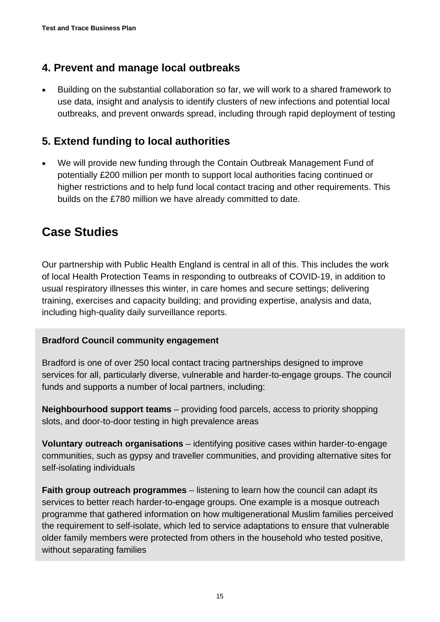## **4. Prevent and manage local outbreaks**

• Building on the substantial collaboration so far, we will work to a shared framework to use data, insight and analysis to identify clusters of new infections and potential local outbreaks, and prevent onwards spread, including through rapid deployment of testing

## **5. Extend funding to local authorities**

• We will provide new funding through the Contain Outbreak Management Fund of potentially £200 million per month to support local authorities facing continued or higher restrictions and to help fund local contact tracing and other requirements. This builds on the £780 million we have already committed to date.

# **Case Studies**

Our partnership with Public Health England is central in all of this. This includes the work of local Health Protection Teams in responding to outbreaks of COVID-19, in addition to usual respiratory illnesses this winter, in care homes and secure settings; delivering training, exercises and capacity building; and providing expertise, analysis and data, including high-quality daily surveillance reports.

#### **Bradford Council community engagement**

Bradford is one of over 250 local contact tracing partnerships designed to improve services for all, particularly diverse, vulnerable and harder-to-engage groups. The council funds and supports a number of local partners, including:

**Neighbourhood support teams** – providing food parcels, access to priority shopping slots, and door-to-door testing in high prevalence areas

**Voluntary outreach organisations** – identifying positive cases within harder-to-engage communities, such as gypsy and traveller communities, and providing alternative sites for self-isolating individuals

**Faith group outreach programmes** – listening to learn how the council can adapt its services to better reach harder-to-engage groups. One example is a mosque outreach programme that gathered information on how multigenerational Muslim families perceived the requirement to self-isolate, which led to service adaptations to ensure that vulnerable older family members were protected from others in the household who tested positive, without separating families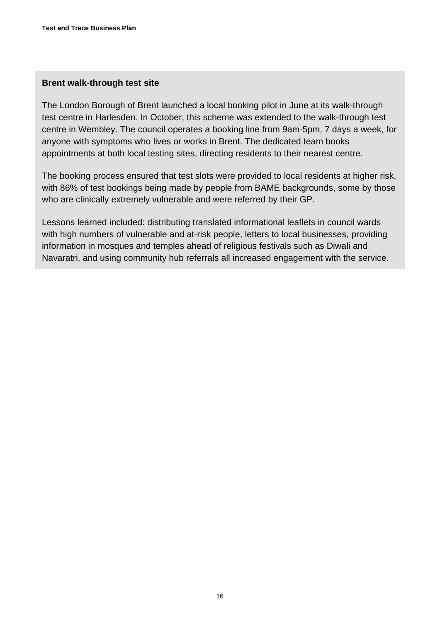#### **Brent walk-through test site**

The London Borough of Brent launched a local booking pilot in June at its walk-through test centre in Harlesden. In October, this scheme was extended to the walk-through test centre in Wembley. The council operates a booking line from 9am-5pm, 7 days a week, for anyone with symptoms who lives or works in Brent. The dedicated team books appointments at both local testing sites, directing residents to their nearest centre.

The booking process ensured that test slots were provided to local residents at higher risk, with 86% of test bookings being made by people from BAME backgrounds, some by those who are clinically extremely vulnerable and were referred by their GP.

Lessons learned included: distributing translated informational leaflets in council wards with high numbers of vulnerable and at-risk people, letters to local businesses, providing information in mosques and temples ahead of religious festivals such as Diwali and Navaratri, and using community hub referrals all increased engagement with the service.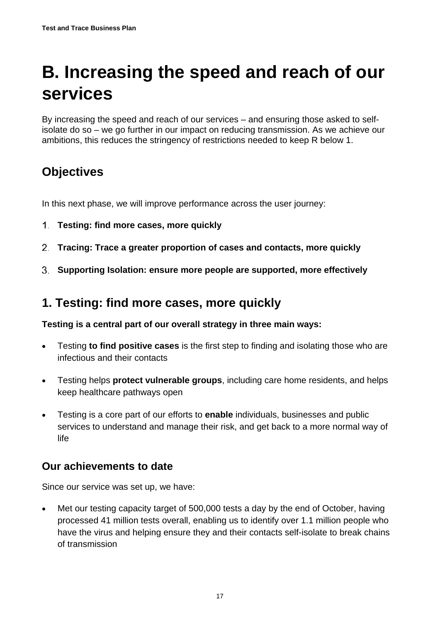# <span id="page-16-0"></span>**B. Increasing the speed and reach of our services**

By increasing the speed and reach of our services – and ensuring those asked to selfisolate do so – we go further in our impact on reducing transmission. As we achieve our ambitions, this reduces the stringency of restrictions needed to keep R below 1.

# **Objectives**

In this next phase, we will improve performance across the user journey:

- **Testing: find more cases, more quickly**
- **Tracing: Trace a greater proportion of cases and contacts, more quickly**
- **Supporting Isolation: ensure more people are supported, more effectively**

## **1. Testing: find more cases, more quickly**

**Testing is a central part of our overall strategy in three main ways:** 

- Testing **to find positive cases** is the first step to finding and isolating those who are infectious and their contacts
- Testing helps **protect vulnerable groups**, including care home residents, and helps keep healthcare pathways open
- Testing is a core part of our efforts to **enable** individuals, businesses and public services to understand and manage their risk, and get back to a more normal way of life

#### **Our achievements to date**

Since our service was set up, we have:

• Met our testing capacity target of 500,000 tests a day by the end of October, having processed 41 million tests overall, enabling us to identify over 1.1 million people who have the virus and helping ensure they and their contacts self-isolate to break chains of transmission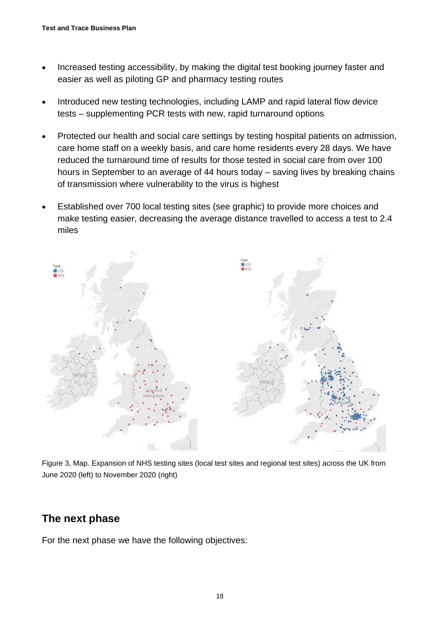- Increased testing accessibility, by making the digital test booking journey faster and easier as well as piloting GP and pharmacy testing routes
- Introduced new testing technologies, including LAMP and rapid lateral flow device tests – supplementing PCR tests with new, rapid turnaround options
- Protected our health and social care settings by testing hospital patients on admission, care home staff on a weekly basis, and care home residents every 28 days. We have reduced the turnaround time of results for those tested in social care from over 100 hours in September to an average of 44 hours today – saving lives by breaking chains of transmission where vulnerability to the virus is highest
- Established over 700 local testing sites (see graphic) to provide more choices and make testing easier, decreasing the average distance travelled to access a test to 2.4 miles



Figure 3, Map. Expansion of NHS testing sites (local test sites and regional test sites) across the UK from June 2020 (left) to November 2020 (right)

## **The next phase**

For the next phase we have the following objectives: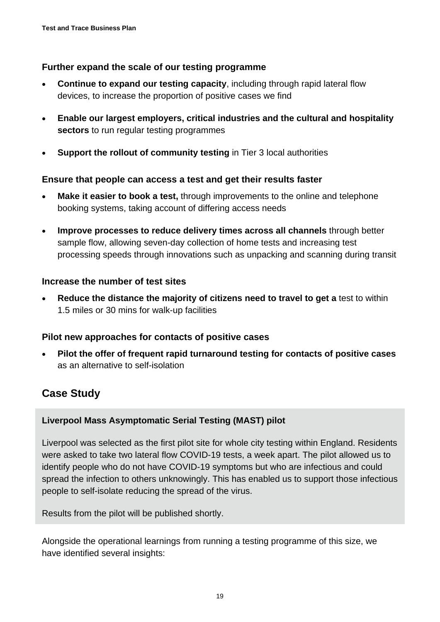#### **Further expand the scale of our testing programme**

- **Continue to expand our testing capacity**, including through rapid lateral flow devices, to increase the proportion of positive cases we find
- **Enable our largest employers, critical industries and the cultural and hospitality sectors** to run regular testing programmes
- **Support the rollout of community testing** in Tier 3 local authorities

#### **Ensure that people can access a test and get their results faster**

- **Make it easier to book a test, through improvements to the online and telephone** booking systems, taking account of differing access needs
- **Improve processes to reduce delivery times across all channels** through better sample flow, allowing seven-day collection of home tests and increasing test processing speeds through innovations such as unpacking and scanning during transit

#### **Increase the number of test sites**

• **Reduce the distance the majority of citizens need to travel to get a** test to within 1.5 miles or 30 mins for walk-up facilities

#### **Pilot new approaches for contacts of positive cases**

• **Pilot the offer of frequent rapid turnaround testing for contacts of positive cases** as an alternative to self-isolation

### **Case Study**

#### **Liverpool Mass Asymptomatic Serial Testing (MAST) pilot**

Liverpool was selected as the first pilot site for whole city testing within England. Residents were asked to take two lateral flow COVID-19 tests, a week apart. The pilot allowed us to identify people who do not have COVID-19 symptoms but who are infectious and could spread the infection to others unknowingly. This has enabled us to support those infectious people to self-isolate reducing the spread of the virus.

Results from the pilot will be published shortly.

Alongside the operational learnings from running a testing programme of this size, we have identified several insights: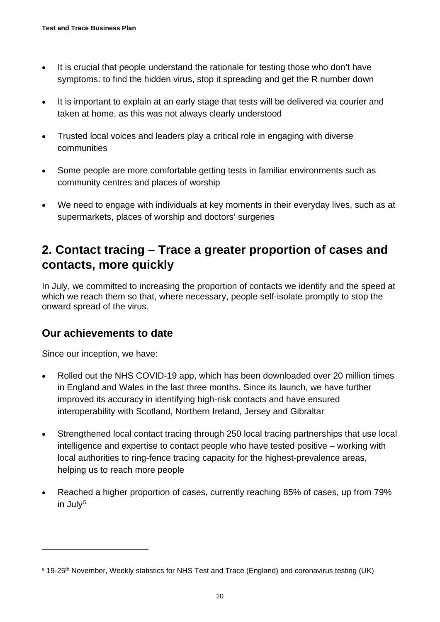- It is crucial that people understand the rationale for testing those who don't have symptoms: to find the hidden virus, stop it spreading and get the R number down
- It is important to explain at an early stage that tests will be delivered via courier and taken at home, as this was not always clearly understood
- Trusted local voices and leaders play a critical role in engaging with diverse communities
- Some people are more comfortable getting tests in familiar environments such as community centres and places of worship
- We need to engage with individuals at key moments in their everyday lives, such as at supermarkets, places of worship and doctors' surgeries

# **2. Contact tracing – Trace a greater proportion of cases and contacts, more quickly**

In July, we committed to increasing the proportion of contacts we identify and the speed at which we reach them so that, where necessary, people self-isolate promptly to stop the onward spread of the virus.

### **Our achievements to date**

Since our inception, we have:

- Rolled out the NHS COVID-19 app, which has been downloaded over 20 million times in England and Wales in the last three months. Since its launch, we have further improved its accuracy in identifying high-risk contacts and have ensured interoperability with Scotland, Northern Ireland, Jersey and Gibraltar
- Strengthened local contact tracing through 250 local tracing partnerships that use local intelligence and expertise to contact people who have tested positive – working with local authorities to ring-fence tracing capacity for the highest-prevalence areas, helping us to reach more people
- Reached a higher proportion of cases, currently reaching 85% of cases, up from 79% in July<sup>[5](#page-19-0)</sup>

<span id="page-19-0"></span><sup>&</sup>lt;sup>5</sup> 19-25<sup>th</sup> November, Weekly statistics for NHS Test and Trace (England) and coronavirus testing (UK)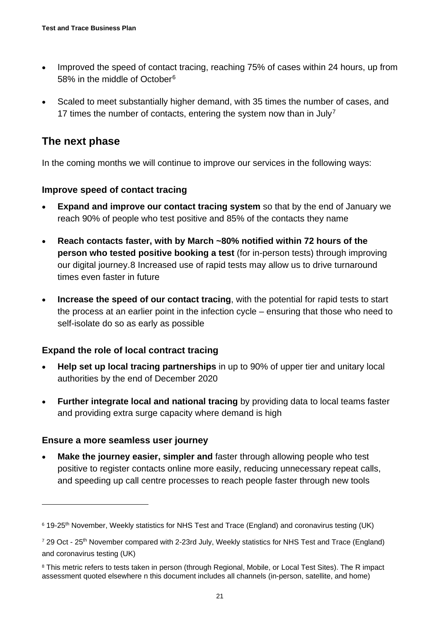- Improved the speed of contact tracing, reaching 75% of cases within 24 hours, up from 58% in the middle of October<sup>[6](#page-20-0)</sup>
- Scaled to meet substantially higher demand, with 35 times the number of cases, and 1[7](#page-20-1) times the number of contacts, entering the system now than in July<sup>7</sup>

### **The next phase**

In the coming months we will continue to improve our services in the following ways:

#### **Improve speed of contact tracing**

- **Expand and improve our contact tracing system** so that by the end of January we reach 90% of people who test positive and 85% of the contacts they name
- **Reach contacts faster, with by March ~80% notified within 72 hours of the person who tested positive booking a test** (for in-person tests) through improving our digital journey.[8](#page-20-2) Increased use of rapid tests may allow us to drive turnaround times even faster in future
- **Increase the speed of our contact tracing**, with the potential for rapid tests to start the process at an earlier point in the infection cycle – ensuring that those who need to self-isolate do so as early as possible

#### **Expand the role of local contract tracing**

- **Help set up local tracing partnerships** in up to 90% of upper tier and unitary local authorities by the end of December 2020
- **Further integrate local and national tracing** by providing data to local teams faster and providing extra surge capacity where demand is high

#### **Ensure a more seamless user journey**

**Make the journey easier, simpler and faster through allowing people who test** positive to register contacts online more easily, reducing unnecessary repeat calls, and speeding up call centre processes to reach people faster through new tools

<span id="page-20-0"></span><sup>&</sup>lt;sup>6</sup> 19-25<sup>th</sup> November, Weekly statistics for NHS Test and Trace (England) and coronavirus testing (UK)

<span id="page-20-1"></span><sup>&</sup>lt;sup>7</sup> 29 Oct - 25<sup>th</sup> November compared with 2-23rd July, Weekly statistics for NHS Test and Trace (England) and coronavirus testing (UK)

<span id="page-20-2"></span><sup>&</sup>lt;sup>8</sup> This metric refers to tests taken in person (through Regional, Mobile, or Local Test Sites). The R impact assessment quoted elsewhere n this document includes all channels (in-person, satellite, and home)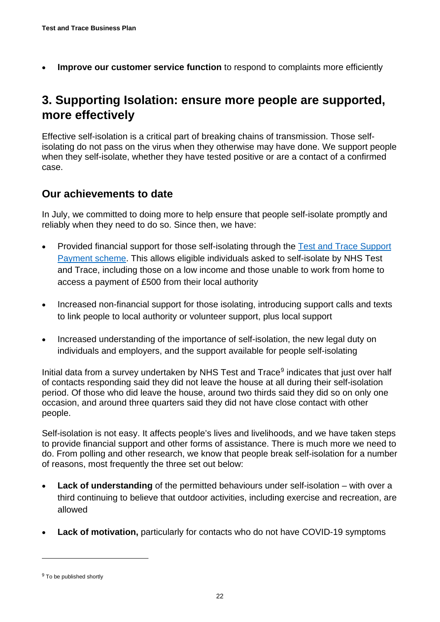**Improve our customer service function** to respond to complaints more efficiently

# **3. Supporting Isolation: ensure more people are supported, more effectively**

Effective self-isolation is a critical part of breaking chains of transmission. Those selfisolating do not pass on the virus when they otherwise may have done. We support people when they self-isolate, whether they have tested positive or are a contact of a confirmed case.

#### **Our achievements to date**

In July, we committed to doing more to help ensure that people self-isolate promptly and reliably when they need to do so. Since then, we have:

- Provided financial support for those self-isolating through the Test and Trace Support [Payment scheme.](https://www.gov.uk/government/publications/test-and-trace-support-payment-scheme-claiming-financial-support/claiming-financial-support-under-the-test-and-trace-support-payment-scheme) This allows eligible individuals asked to self-isolate by NHS Test and Trace, including those on a low income and those unable to work from home to access a payment of £500 from their local authority
- Increased non-financial support for those isolating, introducing support calls and texts to link people to local authority or volunteer support, plus local support
- Increased understanding of the importance of self-isolation, the new legal duty on individuals and employers, and the support available for people self-isolating

Initial data from a survey undertaken by NHS Test and Trace<sup>[9](#page-21-0)</sup> indicates that just over half of contacts responding said they did not leave the house at all during their self-isolation period. Of those who did leave the house, around two thirds said they did so on only one occasion, and around three quarters said they did not have close contact with other people.

Self-isolation is not easy. It affects people's lives and livelihoods, and we have taken steps to provide financial support and other forms of assistance. There is much more we need to do. From polling and other research, we know that people break self-isolation for a number of reasons, most frequently the three set out below:

- **Lack of understanding** of the permitted behaviours under self-isolation with over a third continuing to believe that outdoor activities, including exercise and recreation, are allowed
- **Lack of motivation,** particularly for contacts who do not have COVID-19 symptoms

<span id="page-21-0"></span><sup>&</sup>lt;sup>9</sup> To be published shortly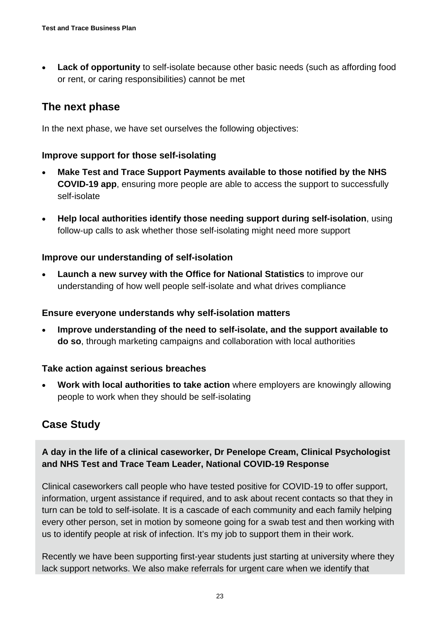**Lack of opportunity** to self-isolate because other basic needs (such as affording food or rent, or caring responsibilities) cannot be met

## **The next phase**

In the next phase, we have set ourselves the following objectives:

#### **Improve support for those self-isolating**

- **Make Test and Trace Support Payments available to those notified by the NHS COVID-19 app**, ensuring more people are able to access the support to successfully self-isolate
- **Help local authorities identify those needing support during self-isolation**, using follow-up calls to ask whether those self-isolating might need more support

#### **Improve our understanding of self-isolation**

• **Launch a new survey with the Office for National Statistics** to improve our understanding of how well people self-isolate and what drives compliance

#### **Ensure everyone understands why self-isolation matters**

• **Improve understanding of the need to self-isolate, and the support available to do so**, through marketing campaigns and collaboration with local authorities

#### **Take action against serious breaches**

• **Work with local authorities to take action** where employers are knowingly allowing people to work when they should be self-isolating

## **Case Study**

#### **A day in the life of a clinical caseworker, Dr Penelope Cream, Clinical Psychologist and NHS Test and Trace Team Leader, National COVID-19 Response**

Clinical caseworkers call people who have tested positive for COVID-19 to offer support, information, urgent assistance if required, and to ask about recent contacts so that they in turn can be told to self-isolate. It is a cascade of each community and each family helping every other person, set in motion by someone going for a swab test and then working with us to identify people at risk of infection. It's my job to support them in their work.

Recently we have been supporting first-year students just starting at university where they lack support networks. We also make referrals for urgent care when we identify that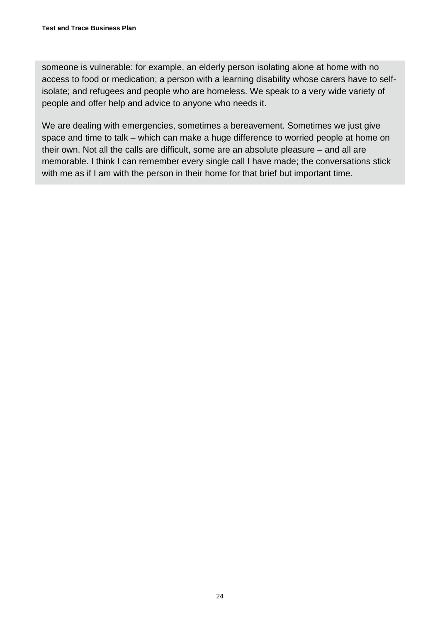someone is vulnerable: for example, an elderly person isolating alone at home with no access to food or medication; a person with a learning disability whose carers have to selfisolate; and refugees and people who are homeless. We speak to a very wide variety of people and offer help and advice to anyone who needs it.

We are dealing with emergencies, sometimes a bereavement. Sometimes we just give space and time to talk – which can make a huge difference to worried people at home on their own. Not all the calls are difficult, some are an absolute pleasure – and all are memorable. I think I can remember every single call I have made; the conversations stick with me as if I am with the person in their home for that brief but important time.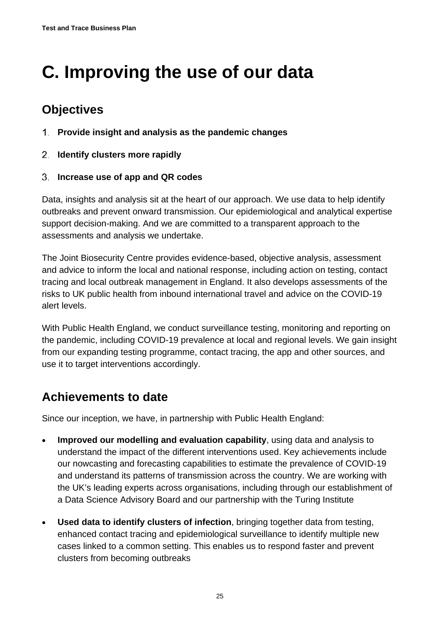# <span id="page-24-0"></span>**C. Improving the use of our data**

# **Objectives**

- **Provide insight and analysis as the pandemic changes**
- **Identify clusters more rapidly**
- **Increase use of app and QR codes**

Data, insights and analysis sit at the heart of our approach. We use data to help identify outbreaks and prevent onward transmission. Our epidemiological and analytical expertise support decision-making. And we are committed to a transparent approach to the assessments and analysis we undertake.

The Joint Biosecurity Centre provides evidence-based, objective analysis, assessment and advice to inform the local and national response, including action on testing, contact tracing and local outbreak management in England. It also develops assessments of the risks to UK public health from inbound international travel and advice on the COVID-19 alert levels.

With Public Health England, we conduct surveillance testing, monitoring and reporting on the pandemic, including COVID-19 prevalence at local and regional levels. We gain insight from our expanding testing programme, contact tracing, the app and other sources, and use it to target interventions accordingly.

# **Achievements to date**

Since our inception, we have, in partnership with Public Health England:

- **Improved our modelling and evaluation capability**, using data and analysis to understand the impact of the different interventions used. Key achievements include our nowcasting and forecasting capabilities to estimate the prevalence of COVID-19 and understand its patterns of transmission across the country. We are working with the UK's leading experts across organisations, including through our establishment of a Data Science Advisory Board and our partnership with the Turing Institute
- **Used data to identify clusters of infection**, bringing together data from testing, enhanced contact tracing and epidemiological surveillance to identify multiple new cases linked to a common setting. This enables us to respond faster and prevent clusters from becoming outbreaks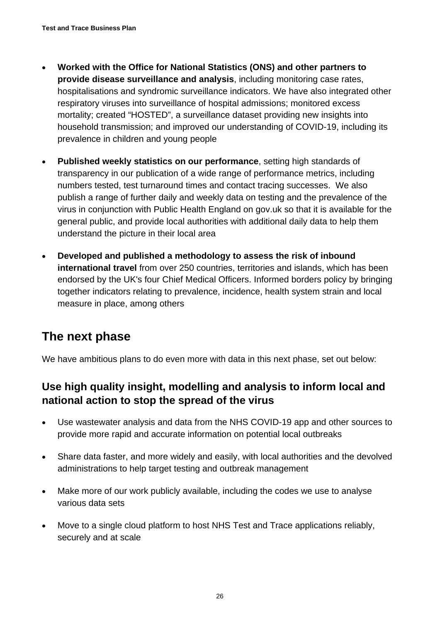- **Worked with the Office for National Statistics (ONS) and other partners to provide disease surveillance and analysis**, including monitoring case rates, hospitalisations and syndromic surveillance indicators. We have also integrated other respiratory viruses into surveillance of hospital admissions; monitored excess mortality; created "HOSTED", a surveillance dataset providing new insights into household transmission; and improved our understanding of COVID-19, including its prevalence in children and young people
- **Published weekly statistics on our performance**, setting high standards of transparency in our publication of a wide range of performance metrics, including numbers tested, test turnaround times and contact tracing successes. We also publish a range of further daily and weekly data on testing and the prevalence of the virus in conjunction with Public Health England on gov.uk so that it is available for the general public, and provide local authorities with additional daily data to help them understand the picture in their local area
- **Developed and published a methodology to assess the risk of inbound international travel** from over 250 countries, territories and islands, which has been endorsed by the UK's four Chief Medical Officers. Informed borders policy by bringing together indicators relating to prevalence, incidence, health system strain and local measure in place, among others

# **The next phase**

We have ambitious plans to do even more with data in this next phase, set out below:

## **Use high quality insight, modelling and analysis to inform local and national action to stop the spread of the virus**

- Use wastewater analysis and data from the NHS COVID-19 app and other sources to provide more rapid and accurate information on potential local outbreaks
- Share data faster, and more widely and easily, with local authorities and the devolved administrations to help target testing and outbreak management
- Make more of our work publicly available, including the codes we use to analyse various data sets
- Move to a single cloud platform to host NHS Test and Trace applications reliably, securely and at scale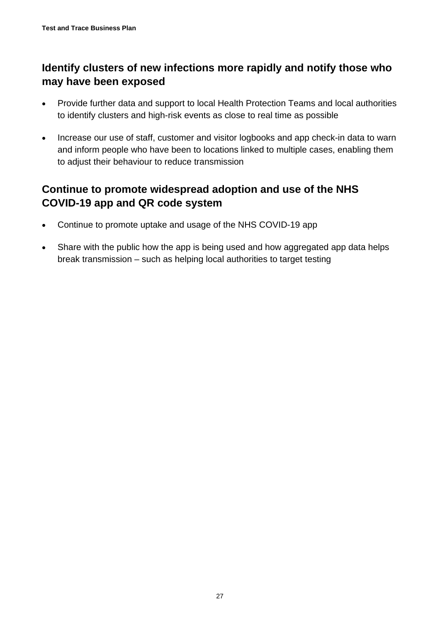## **Identify clusters of new infections more rapidly and notify those who may have been exposed**

- Provide further data and support to local Health Protection Teams and local authorities to identify clusters and high-risk events as close to real time as possible
- Increase our use of staff, customer and visitor logbooks and app check-in data to warn and inform people who have been to locations linked to multiple cases, enabling them to adjust their behaviour to reduce transmission

## **Continue to promote widespread adoption and use of the NHS COVID-19 app and QR code system**

- Continue to promote uptake and usage of the NHS COVID-19 app
- Share with the public how the app is being used and how aggregated app data helps break transmission – such as helping local authorities to target testing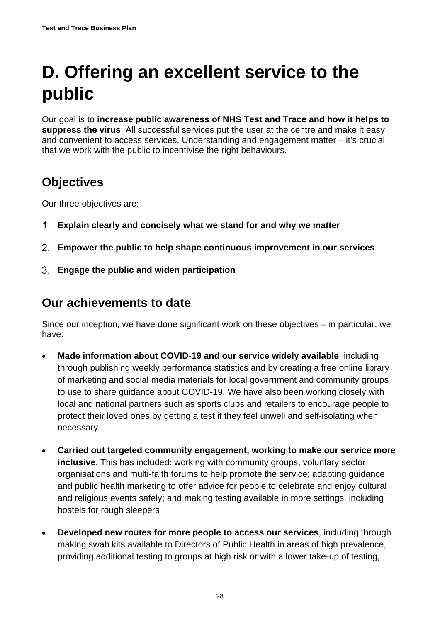# <span id="page-27-0"></span>**D. Offering an excellent service to the public**

Our goal is to **increase public awareness of NHS Test and Trace and how it helps to suppress the virus**. All successful services put the user at the centre and make it easy and convenient to access services. Understanding and engagement matter – it's crucial that we work with the public to incentivise the right behaviours.

# **Objectives**

Our three objectives are:

- **Explain clearly and concisely what we stand for and why we matter**
- **Empower the public to help shape continuous improvement in our services**
- **Engage the public and widen participation**

# **Our achievements to date**

Since our inception, we have done significant work on these objectives – in particular, we have:

- **Made information about COVID-19 and our service widely available**, including through publishing weekly performance statistics and by creating a free online library of marketing and social media materials for local government and community groups to use to share guidance about COVID-19. We have also been working closely with local and national partners such as sports clubs and retailers to encourage people to protect their loved ones by getting a test if they feel unwell and self-isolating when necessary
- **Carried out targeted community engagement, working to make our service more inclusive**. This has included: working with community groups, voluntary sector organisations and multi-faith forums to help promote the service; adapting guidance and public health marketing to offer advice for people to celebrate and enjoy cultural and religious events safely; and making testing available in more settings, including hostels for rough sleepers
- **Developed new routes for more people to access our services**, including through making swab kits available to Directors of Public Health in areas of high prevalence, providing additional testing to groups at high risk or with a lower take-up of testing,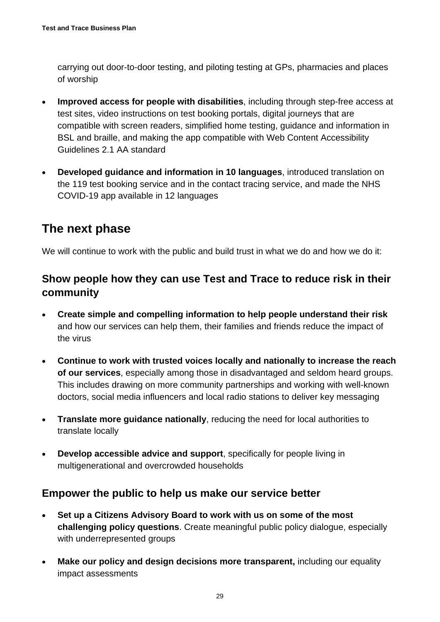carrying out door-to-door testing, and piloting testing at GPs, pharmacies and places of worship

- **Improved access for people with disabilities**, including through step-free access at test sites, video instructions on test booking portals, digital journeys that are compatible with screen readers, simplified home testing, guidance and information in BSL and braille, and making the app compatible with Web Content Accessibility Guidelines 2.1 AA standard
- **Developed guidance and information in 10 languages**, introduced translation on the 119 test booking service and in the contact tracing service, and made the NHS COVID-19 app available in 12 languages

# **The next phase**

We will continue to work with the public and build trust in what we do and how we do it:

### **Show people how they can use Test and Trace to reduce risk in their community**

- **Create simple and compelling information to help people understand their risk** and how our services can help them, their families and friends reduce the impact of the virus
- **Continue to work with trusted voices locally and nationally to increase the reach of our services**, especially among those in disadvantaged and seldom heard groups. This includes drawing on more community partnerships and working with well-known doctors, social media influencers and local radio stations to deliver key messaging
- **Translate more guidance nationally**, reducing the need for local authorities to translate locally
- **Develop accessible advice and support**, specifically for people living in multigenerational and overcrowded households

#### **Empower the public to help us make our service better**

- **Set up a Citizens Advisory Board to work with us on some of the most challenging policy questions**. Create meaningful public policy dialogue, especially with underrepresented groups
- **Make our policy and design decisions more transparent,** including our equality impact assessments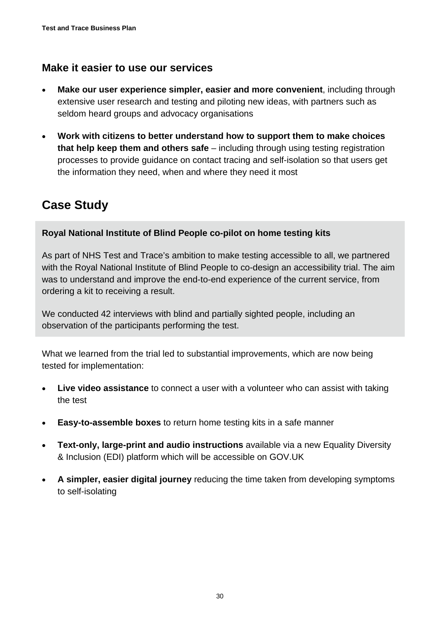### **Make it easier to use our services**

- **Make our user experience simpler, easier and more convenient**, including through extensive user research and testing and piloting new ideas, with partners such as seldom heard groups and advocacy organisations
- **Work with citizens to better understand how to support them to make choices that help keep them and others safe** – including through using testing registration processes to provide guidance on contact tracing and self-isolation so that users get the information they need, when and where they need it most

# **Case Study**

#### **Royal National Institute of Blind People co-pilot on home testing kits**

As part of NHS Test and Trace's ambition to make testing accessible to all, we partnered with the Royal National Institute of Blind People to co-design an accessibility trial. The aim was to understand and improve the end-to-end experience of the current service, from ordering a kit to receiving a result.

We conducted 42 interviews with blind and partially sighted people, including an observation of the participants performing the test.

What we learned from the trial led to substantial improvements, which are now being tested for implementation:

- **Live video assistance** to connect a user with a volunteer who can assist with taking the test
- **Easy-to-assemble boxes** to return home testing kits in a safe manner
- **Text-only, large-print and audio instructions** available via a new Equality Diversity & Inclusion (EDI) platform which will be accessible on GOV.UK
- **A simpler, easier digital journey** reducing the time taken from developing symptoms to self-isolating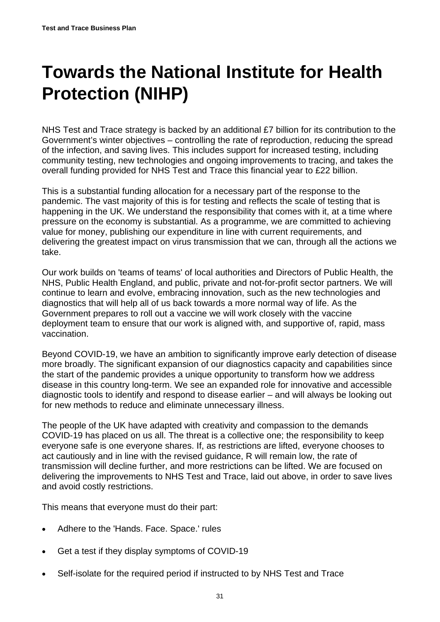# <span id="page-30-0"></span>**Towards the National Institute for Health Protection (NIHP)**

NHS Test and Trace strategy is backed by an additional £7 billion for its contribution to the Government's winter objectives – controlling the rate of reproduction, reducing the spread of the infection, and saving lives. This includes support for increased testing, including community testing, new technologies and ongoing improvements to tracing, and takes the overall funding provided for NHS Test and Trace this financial year to £22 billion.

This is a substantial funding allocation for a necessary part of the response to the pandemic. The vast majority of this is for testing and reflects the scale of testing that is happening in the UK. We understand the responsibility that comes with it, at a time where pressure on the economy is substantial. As a programme, we are committed to achieving value for money, publishing our expenditure in line with current requirements, and delivering the greatest impact on virus transmission that we can, through all the actions we take.

Our work builds on 'teams of teams' of local authorities and Directors of Public Health, the NHS, Public Health England, and public, private and not-for-profit sector partners. We will continue to learn and evolve, embracing innovation, such as the new technologies and diagnostics that will help all of us back towards a more normal way of life. As the Government prepares to roll out a vaccine we will work closely with the vaccine deployment team to ensure that our work is aligned with, and supportive of, rapid, mass vaccination.

Beyond COVID-19, we have an ambition to significantly improve early detection of disease more broadly. The significant expansion of our diagnostics capacity and capabilities since the start of the pandemic provides a unique opportunity to transform how we address disease in this country long-term. We see an expanded role for innovative and accessible diagnostic tools to identify and respond to disease earlier – and will always be looking out for new methods to reduce and eliminate unnecessary illness.

The people of the UK have adapted with creativity and compassion to the demands COVID-19 has placed on us all. The threat is a collective one; the responsibility to keep everyone safe is one everyone shares. If, as restrictions are lifted, everyone chooses to act cautiously and in line with the revised guidance, R will remain low, the rate of transmission will decline further, and more restrictions can be lifted. We are focused on delivering the improvements to NHS Test and Trace, laid out above, in order to save lives and avoid costly restrictions.

This means that everyone must do their part:

- Adhere to the 'Hands. Face. Space.' rules
- Get a test if they display symptoms of COVID-19
- Self-isolate for the required period if instructed to by NHS Test and Trace